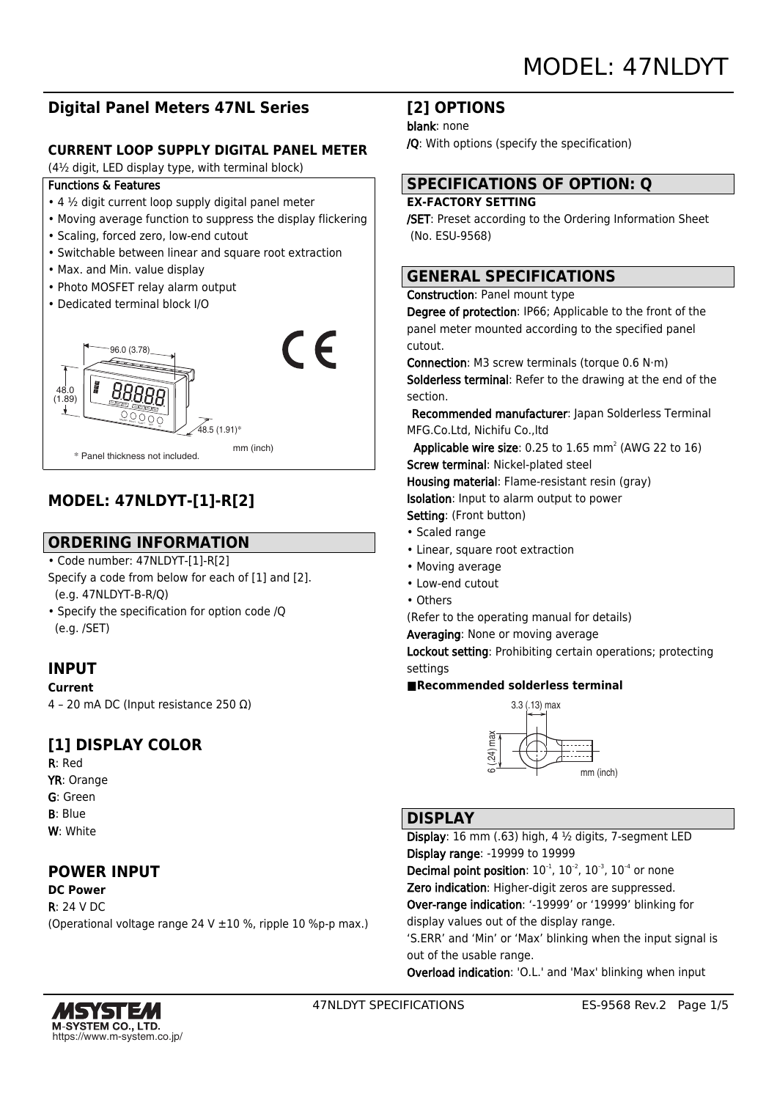## **Digital Panel Meters 47NL Series**

### **CURRENT LOOP SUPPLY DIGITAL PANEL METER**

(4½ digit, LED display type, with terminal block)

#### Functions & Features

- $\cdot$  4  $\frac{1}{2}$  digit current loop supply digital panel meter
- Moving average function to suppress the display flickering
- Scaling, forced zero, low-end cutout
- Switchable between linear and square root extraction
- Max. and Min. value display
- Photo MOSFET relay alarm output
- Dedicated terminal block I/O



## **MODEL: 47NLDYT-[1]-R[2]**

## **ORDERING INFORMATION**

• Code number: 47NLDYT-[1]-R[2]

- Specify a code from below for each of [1] and [2]. (e.g. 47NLDYT-B-R/Q)
- Specify the specification for option code /Q (e.g. /SET)

## **INPUT**

#### **Current**

4 – 20 mA DC (Input resistance 250 Ω)

## **[1] DISPLAY COLOR**

R: Red YR: Orange G: Green B: Blue W: White

## **POWER INPUT**

**DC Power** R: 24 V DC (Operational voltage range 24 V ±10 %, ripple 10 %p-p max.)

## **[2] OPTIONS**

#### blank: none

/Q: With options (specify the specification)

# **SPECIFICATIONS OF OPTION: Q**

#### **EX-FACTORY SETTING**

/SET: Preset according to the Ordering Information Sheet (No. ESU-9568)

## **GENERAL SPECIFICATIONS**

#### Construction: Panel mount type

Degree of protection: IP66; Applicable to the front of the panel meter mounted according to the specified panel cutout.

Connection: M3 screw terminals (torque 0.6 N·m) Solderless terminal: Refer to the drawing at the end of the section.

 Recommended manufacturer: Japan Solderless Terminal MFG.Co.Ltd, Nichifu Co.,ltd

**Applicable wire size:** 0.25 to  $1.65$  mm<sup>2</sup> (AWG 22 to  $16$ ) Screw terminal: Nickel-plated steel Housing material: Flame-resistant resin (gray) Isolation: Input to alarm output to power Setting: (Front button)

- Scaled range
- Linear, square root extraction
- Moving average
- Low-end cutout
- Others

(Refer to the operating manual for details)

Averaging: None or moving average

Lockout setting: Prohibiting certain operations; protecting settings

#### **■Recommended solderless terminal**



### **DISPLAY**

Display: 16 mm (.63) high, 4 ½ digits, 7-segment LED Display range: -19999 to 19999 **Decimal point position:**  $10^{-1}$ ,  $10^{-2}$ ,  $10^{-3}$ ,  $10^{-4}$  or none Zero indication: Higher-digit zeros are suppressed. Over-range indication: '-19999' or '19999' blinking for display values out of the display range. 'S.ERR' and 'Min' or 'Max' blinking when the input signal is

out of the usable range.

Overload indication: 'O.L.' and 'Max' blinking when input

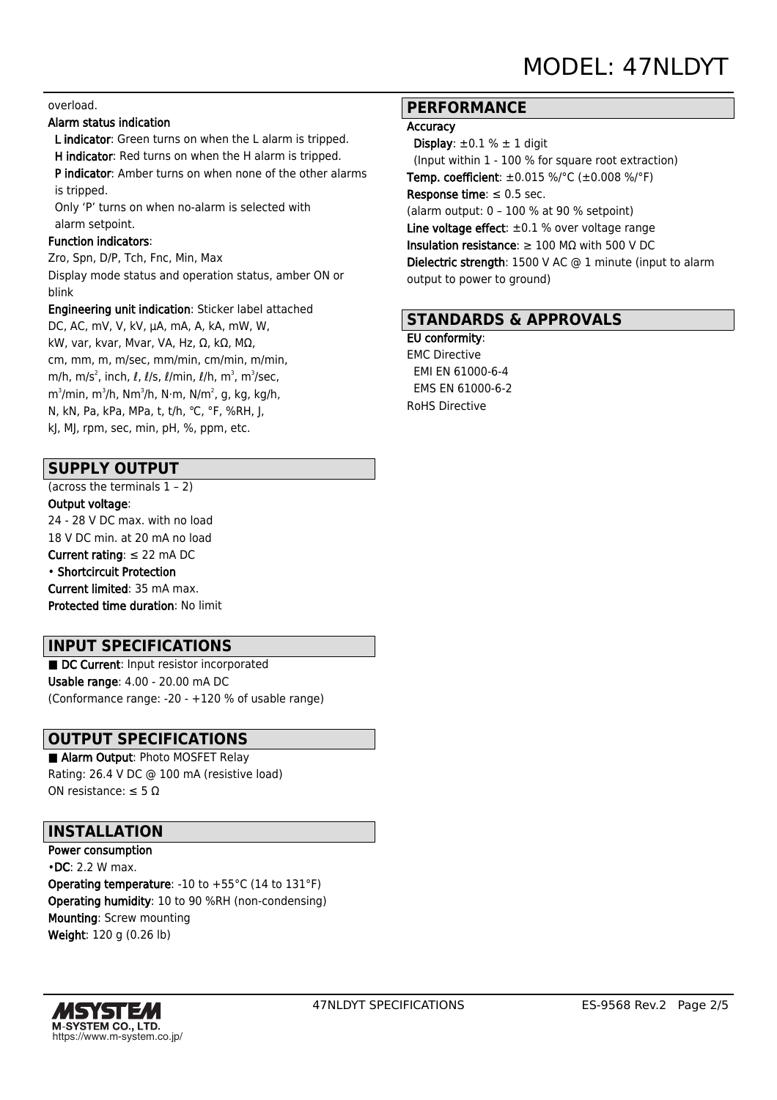#### overload.

#### Alarm status indication

 L indicator: Green turns on when the L alarm is tripped. H indicator: Red turns on when the H alarm is tripped.

 P indicator: Amber turns on when none of the other alarms is tripped.

 Only 'P' turns on when no-alarm is selected with alarm setpoint.

#### Function indicators:

Zro, Spn, D/P, Tch, Fnc, Min, Max Display mode status and operation status, amber ON or blink

Engineering unit indication: Sticker label attached DC, AC, mV, V, kV, μA, mA, A, kA, mW, W,

kW, var, kvar, Mvar, VA, Hz, Ω, kΩ, MΩ, cm, mm, m, m/sec, mm/min, cm/min, m/min, m/h, m/s $^2$ , inch,  $\ell$ ,  $\ell$ /s,  $\ell$ /min,  $\ell$ /h, m $^3$ , m $^3$ /sec, m $^3$ /min, m $^3$ /h, N $\cdot$ m, N $^2$ , N, kg, kg/h, m $^2$ , y, kg/h, m N, kN, Pa, kPa, MPa, t, t/h, ℃, °F, %RH, J, kJ, MJ, rpm, sec, min, pH, %, ppm, etc.

#### **SUPPLY OUTPUT**

(across the terminals 1 – 2)

Output voltage:

24 - 28 V DC max. with no load 18 V DC min. at 20 mA no load Current rating: ≤ 22 mA DC

## • Shortcircuit Protection

Current limited: 35 mA max.

Protected time duration: No limit

### **INPUT SPECIFICATIONS**

■ DC Current: Input resistor incorporated Usable range: 4.00 - 20.00 mA DC (Conformance range: -20 - +120 % of usable range)

## **OUTPUT SPECIFICATIONS**

■ Alarm Output: Photo MOSFET Relay Rating: 26.4 V DC @ 100 mA (resistive load) ON resistance:  $\leq 5 \Omega$ 

### **INSTALLATION**

Power consumption •DC: 2.2 W max. Operating temperature: -10 to +55°C (14 to 131°F) Operating humidity: 10 to 90 %RH (non-condensing) Mounting: Screw mounting Weight: 120 g (0.26 lb)



## **PERFORMANCE**

#### **Accuracy**

Display:  $\pm 0.1$  %  $\pm$  1 digit (Input within 1 - 100 % for square root extraction) **Temp. coefficient:**  $\pm 0.015$  %/°C ( $\pm 0.008$  %/°F) Response time:  $\leq 0.5$  sec. (alarm output: 0 – 100 % at 90 % setpoint) Line voltage effect:  $\pm 0.1$  % over voltage range Insulation resistance:  $\geq 100$  M $\Omega$  with 500 V DC Dielectric strength: 1500 V AC @ 1 minute (input to alarm output to power to ground)

#### **STANDARDS & APPROVALS**

EU conformity: EMC Directive EMI EN 61000-6-4 EMS EN 61000-6-2 RoHS Directive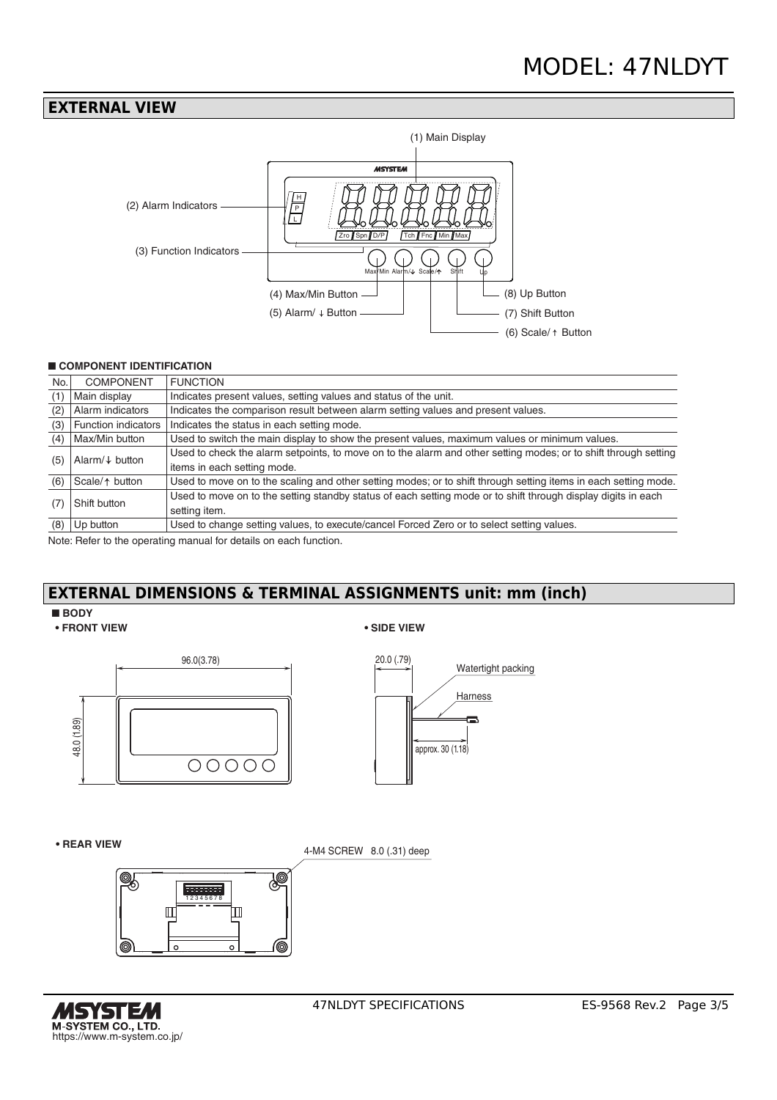## **EXTERNAL VIEW**



#### ■ **COMPONENT IDENTIFICATION**

| No. | <b>COMPONENT</b>           | <b>FUNCTION</b>                                                                                                 |
|-----|----------------------------|-----------------------------------------------------------------------------------------------------------------|
| (1) | Main display               | Indicates present values, setting values and status of the unit.                                                |
| (2) | Alarm indicators           | Indicates the comparison result between alarm setting values and present values.                                |
| (3) | Function indicators        | Indicates the status in each setting mode.                                                                      |
| (4) | Max/Min button             | Used to switch the main display to show the present values, maximum values or minimum values.                   |
| (5) | Alarm/ $\downarrow$ button | Used to check the alarm setpoints, to move on to the alarm and other setting modes; or to shift through setting |
|     |                            | items in each setting mode.                                                                                     |
| (6) | Scale/ $\uparrow$ button   | Used to move on to the scaling and other setting modes; or to shift through setting items in each setting mode. |
| (7) | Shift button               | Used to move on to the setting standby status of each setting mode or to shift through display digits in each   |
|     |                            | setting item.                                                                                                   |
| (8) | Up button                  | Used to change setting values, to execute/cancel Forced Zero or to select setting values.                       |

Note: Refer to the operating manual for details on each function.

## **EXTERNAL DIMENSIONS & TERMINAL ASSIGNMENTS unit: mm (inch)**

#### ■ **BODY**

**• FRONT VIEW • SIDE VIEW**







**• REAR VIEW**

4-M4 SCREW 8.0 (.31) deep



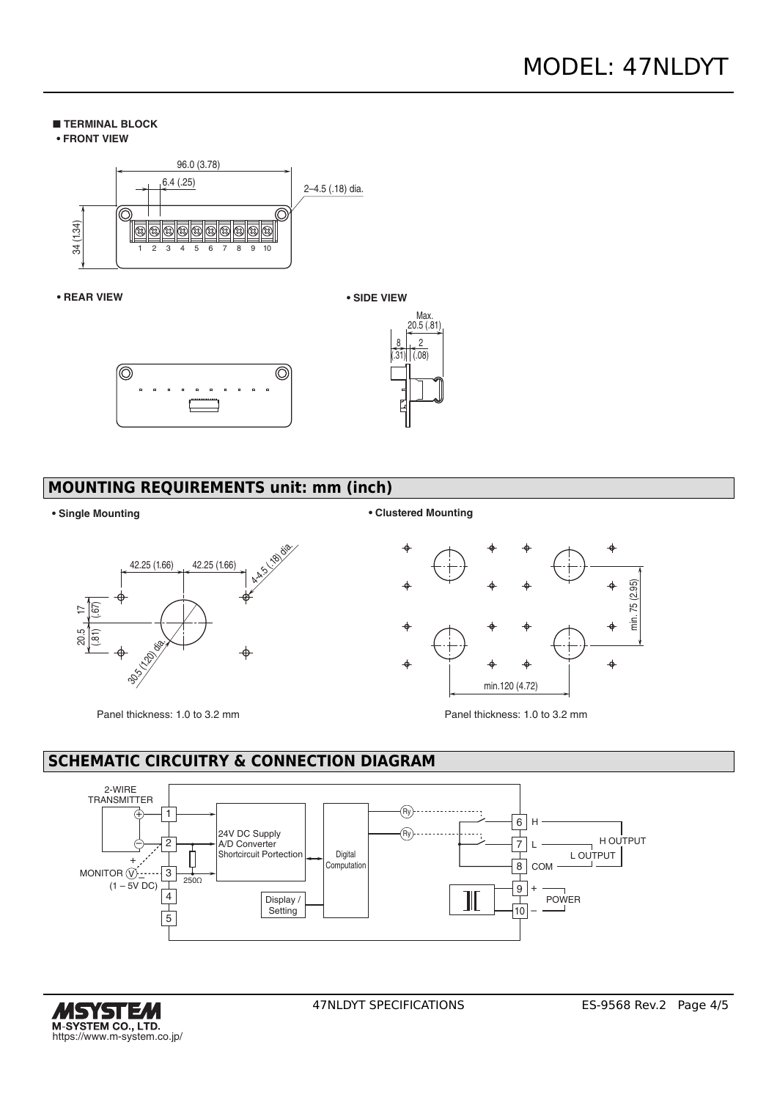#### ■ **TERMINAL BLOCK**





#### **• REAR VIEW**





## **MOUNTING REQUIREMENTS unit: mm (inch)**

 $42.25 (1.66)$   $+42.25 (1.66)$   $+42.25 (1.66)$  $\frac{25}{30}$ <u>ন[ভূ</u> 30.5 (1.20) da.

Panel thickness: 1.0 to 3.2 mm Panel thickness: 1.0 to 3.2 mm





# **SCHEMATIC CIRCUITRY & CONNECTION DIAGRAM**